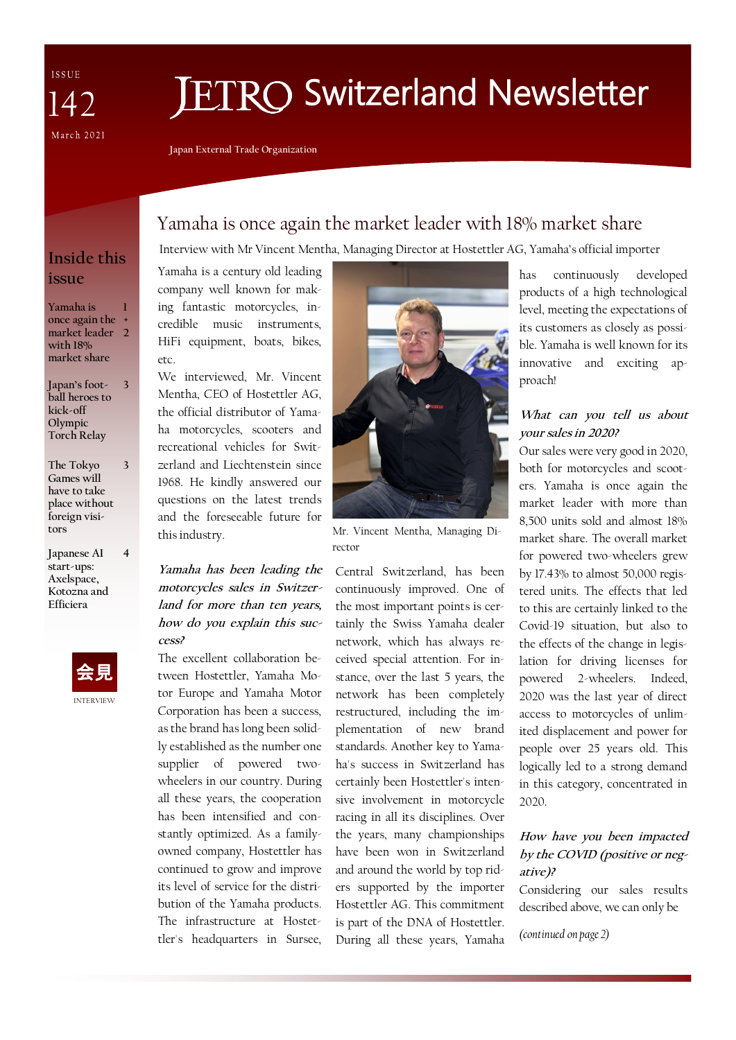ISSUE 142 March 2021

# **ETRO Switzerland Newsletter**

**Japan External Trade Organization**

# Yamaha is once again the market leader with 18% market share

Interview with Mr Vincent Mentha, Managing Director at Hostettler AG, Yamaha's official importer

## **Inside this issue**

**Yamaha is once again the + market leader 2 with 18% market share 1**

- **Japan's football heroes to kick-off Olympic Torch Relay 3**
- **The Tokyo Games will have to take place without foreign visitors 3**
- **Japanese AI start-ups: Axelspace, Kotozna and Efficiera 4**



Yamaha is a century old leading company well known for making fantastic motorcycles, incredible music instruments, HiFi equipment, boats, bikes, etc.

We interviewed, Mr. Vincent Mentha, CEO of Hostettler AG, the official distributor of Yamaha motorcycles, scooters and recreational vehicles for Switzerland and Liechtenstein since 1968. He kindly answered our questions on the latest trends and the foreseeable future for this industry.

**Yamaha has been leading the motorcycles sales in Switzerland for more than ten years, how do you explain this success?**

The excellent collaboration between Hostettler, Yamaha Motor Europe and Yamaha Motor Corporation has been a success, as the brand has long been solidly established as the number one supplier of powered twowheelers in our country. During all these years, the cooperation has been intensified and constantly optimized. As a familyowned company, Hostettler has continued to grow and improve its level of service for the distribution of the Yamaha products. The infrastructure at Hostettler's headquarters in Sursee,



Mr. Vincent Mentha, Managing Director

Central Switzerland, has been continuously improved. One of the most important points is certainly the Swiss Yamaha dealer network, which has always received special attention. For instance, over the last 5 years, the network has been completely restructured, including the implementation of new brand standards. Another key to Yamaha's success in Switzerland has certainly been Hostettler's intensive involvement in motorcycle racing in all its disciplines. Over the years, many championships have been won in Switzerland and around the world by top riders supported by the importer Hostettler AG. This commitment is part of the DNA of Hostettler. During all these years, Yamaha

has continuously developed products of a high technological level, meeting the expectations of its customers as closely as possible. Yamaha is well known for its innovative and exciting approach!

#### **What can you tell us about your sales in 2020?**

Our sales were very good in 2020, both for motorcycles and scooters. Yamaha is once again the market leader with more than 8,500 units sold and almost 18% market share. The overall market for powered two-wheelers grew by 17.43% to almost 50,000 registered units. The effects that led to this are certainly linked to the Covid-19 situation, but also to the effects of the change in legislation for driving licenses for powered 2-wheelers. Indeed, 2020 was the last year of direct access to motorcycles of unlimited displacement and power for people over 25 years old. This logically led to a strong demand in this category, concentrated in 2020.

#### **How have you been impacted by the COVID (positive or negative)?**

Considering our sales results described above, we can only be

*(continued on page 2)*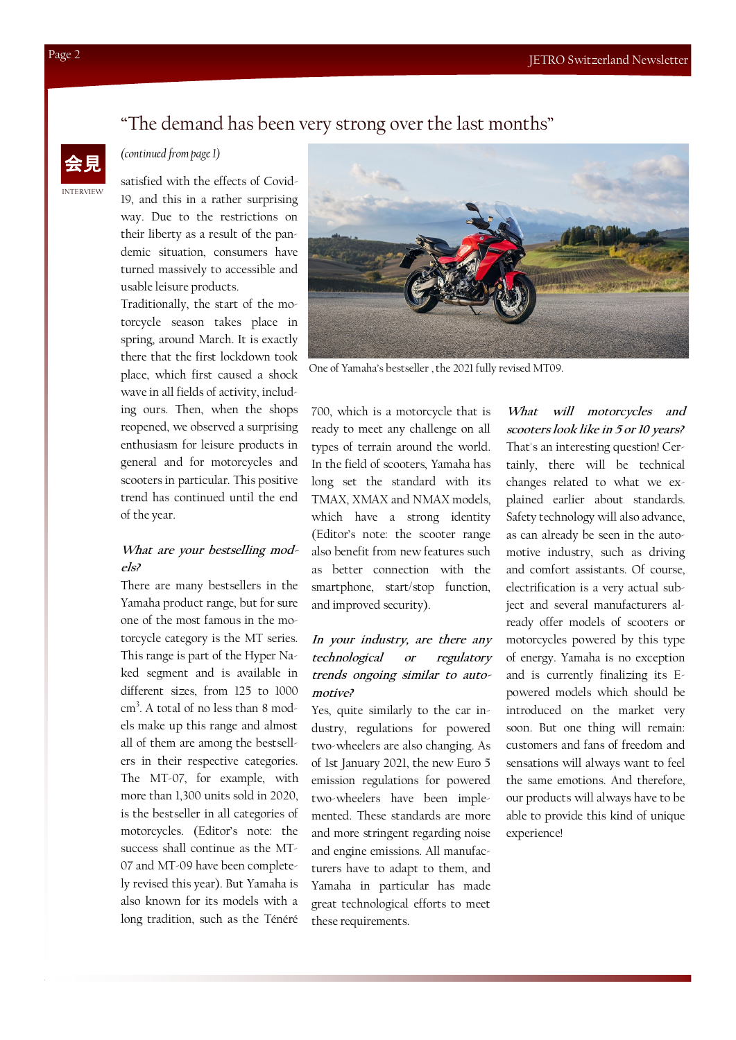### "The demand has been very strong over the last months"



#### *(continued from page 1)*

satisfied with the effects of Covid-19, and this in a rather surprising way. Due to the restrictions on their liberty as a result of the pandemic situation, consumers have turned massively to accessible and usable leisure products.

Traditionally, the start of the motorcycle season takes place in spring, around March. It is exactly there that the first lockdown took place, which first caused a shock wave in all fields of activity, including ours. Then, when the shops reopened, we observed a surprising enthusiasm for leisure products in general and for motorcycles and scooters in particular. This positive trend has continued until the end of the year.

#### **What are your bestselling models?**

There are many bestsellers in the Yamaha product range, but for sure one of the most famous in the motorcycle category is the MT series. This range is part of the Hyper Naked segment and is available in different sizes, from 125 to 1000 cm<sup>3</sup>. A total of no less than 8 models make up this range and almost all of them are among the bestsellers in their respective categories. The MT-07, for example, with more than 1,300 units sold in 2020, is the bestseller in all categories of motorcycles. (Editor's note: the success shall continue as the MT-07 and MT-09 have been completely revised this year). But Yamaha is also known for its models with a long tradition, such as the Ténéré



One of Yamaha's bestseller , the 2021 fully revised MT09.

700, which is a motorcycle that is ready to meet any challenge on all types of terrain around the world. In the field of scooters, Yamaha has long set the standard with its TMAX, XMAX and NMAX models, which have a strong identity (Editor's note: the scooter range also benefit from new features such as better connection with the smartphone, start/stop function, and improved security).

#### **In your industry, are there any technological or regulatory trends ongoing similar to automotive?**

Yes, quite similarly to the car industry, regulations for powered two-wheelers are also changing. As of 1st January 2021, the new Euro 5 emission regulations for powered two-wheelers have been implemented. These standards are more and more stringent regarding noise and engine emissions. All manufacturers have to adapt to them, and Yamaha in particular has made great technological efforts to meet these requirements.

**What will motorcycles and scooters look like in 5 or 10 years?** That's an interesting question! Certainly, there will be technical changes related to what we explained earlier about standards. Safety technology will also advance, as can already be seen in the automotive industry, such as driving and comfort assistants. Of course, electrification is a very actual subject and several manufacturers already offer models of scooters or motorcycles powered by this type of energy. Yamaha is no exception and is currently finalizing its Epowered models which should be introduced on the market very soon. But one thing will remain: customers and fans of freedom and sensations will always want to feel the same emotions. And therefore, our products will always have to be able to provide this kind of unique experience!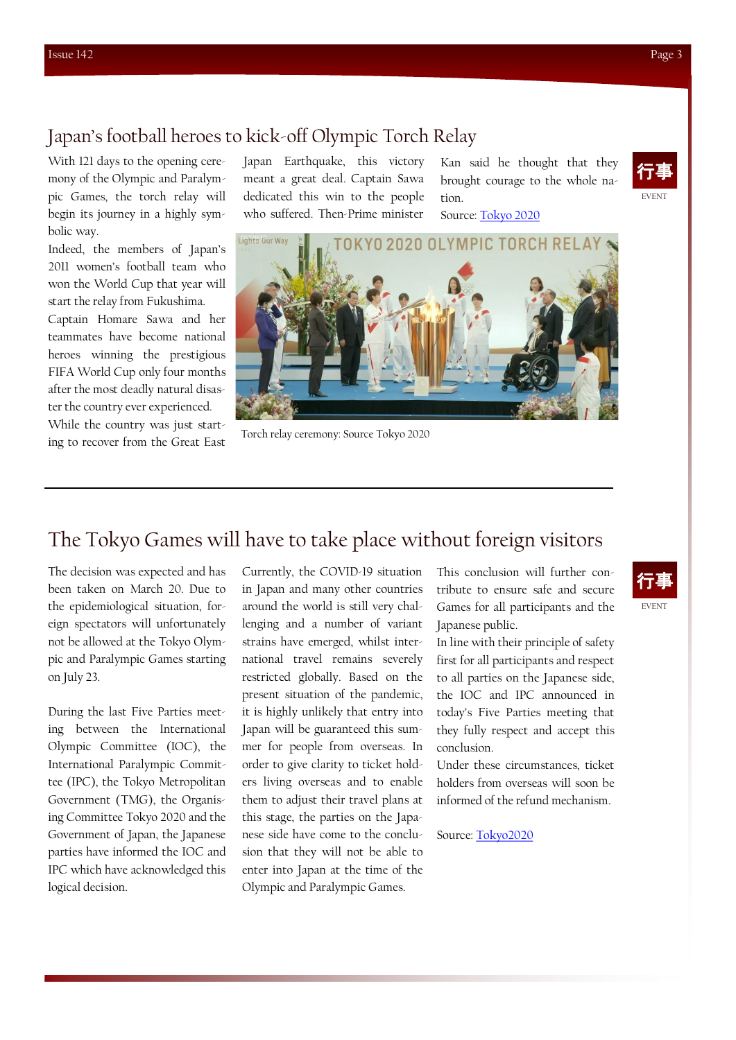## Japan's football heroes to kick-off Olympic Torch Relay

With 121 days to the opening ceremony of the Olympic and Paralympic Games, the torch relay will begin its journey in a highly symbolic way.

Indeed, the members of Japan's 2011 women's football team who won the World Cup that year will start the relay from Fukushima.

Captain Homare Sawa and her teammates have become national heroes winning the prestigious FIFA World Cup only four months after the most deadly natural disaster the country ever experienced.

While the country was just start-Forch relay ceremony: Source Tokyo 2020<br>Ing to recover from the Great East

Japan Earthquake, this victory meant a great deal. Captain Sawa dedicated this win to the people who suffered. Then-Prime minister

Kan said he thought that they brought courage to the whole nation.

Source: [Tokyo 2020](https://tokyo2020.org/en/torch/news/japan-s-football-heroes-to-kick-off-olympic-torch-relay)



# The Tokyo Games will have to take place without foreign visitors

The decision was expected and has been taken on March 20. Due to the epidemiological situation, foreign spectators will unfortunately not be allowed at the Tokyo Olympic and Paralympic Games starting on July 23.

During the last Five Parties meeting between the International Olympic Committee (IOC), the International Paralympic Committee (IPC), the Tokyo Metropolitan Government (TMG), the Organising Committee Tokyo 2020 and the Government of Japan, the Japanese parties have informed the IOC and IPC which have acknowledged this logical decision.

Currently, the COVID-19 situation in Japan and many other countries around the world is still very challenging and a number of variant strains have emerged, whilst international travel remains severely restricted globally. Based on the present situation of the pandemic, it is highly unlikely that entry into Japan will be guaranteed this summer for people from overseas. In order to give clarity to ticket holders living overseas and to enable them to adjust their travel plans at this stage, the parties on the Japanese side have come to the conclusion that they will not be able to enter into Japan at the time of the Olympic and Paralympic Games.

This conclusion will further contribute to ensure safe and secure Games for all participants and the Japanese public.

In line with their principle of safety first for all participants and respect to all parties on the Japanese side, the IOC and IPC announced in today's Five Parties meeting that they fully respect and accept this conclusion.

Under these circumstances, ticket holders from overseas will soon be informed of the refund mechanism.

Source: [Tokyo2020](https://tokyo2020.org/en/news/statement-on-overseas-spectators-for-the-olympic-and-paralympic-games-tokyo-2020)



EVENT 行事